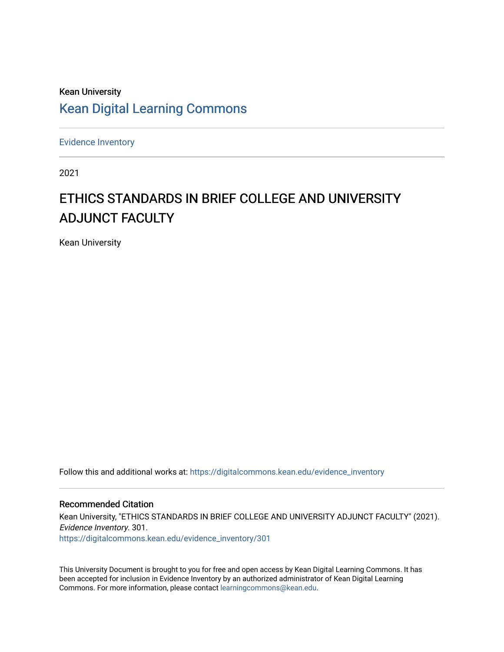# Kean University [Kean Digital Learning Commons](https://digitalcommons.kean.edu/)

[Evidence Inventory](https://digitalcommons.kean.edu/evidence_inventory) 

2021

# ETHICS STANDARDS IN BRIEF COLLEGE AND UNIVERSITY ADJUNCT FACULTY

Kean University

Follow this and additional works at: [https://digitalcommons.kean.edu/evidence\\_inventory](https://digitalcommons.kean.edu/evidence_inventory?utm_source=digitalcommons.kean.edu%2Fevidence_inventory%2F301&utm_medium=PDF&utm_campaign=PDFCoverPages)

#### Recommended Citation

Kean University, "ETHICS STANDARDS IN BRIEF COLLEGE AND UNIVERSITY ADJUNCT FACULTY" (2021). Evidence Inventory. 301. [https://digitalcommons.kean.edu/evidence\\_inventory/301](https://digitalcommons.kean.edu/evidence_inventory/301?utm_source=digitalcommons.kean.edu%2Fevidence_inventory%2F301&utm_medium=PDF&utm_campaign=PDFCoverPages)

This University Document is brought to you for free and open access by Kean Digital Learning Commons. It has been accepted for inclusion in Evidence Inventory by an authorized administrator of Kean Digital Learning Commons. For more information, please contact [learningcommons@kean.edu.](mailto:learningcommons@kean.edu)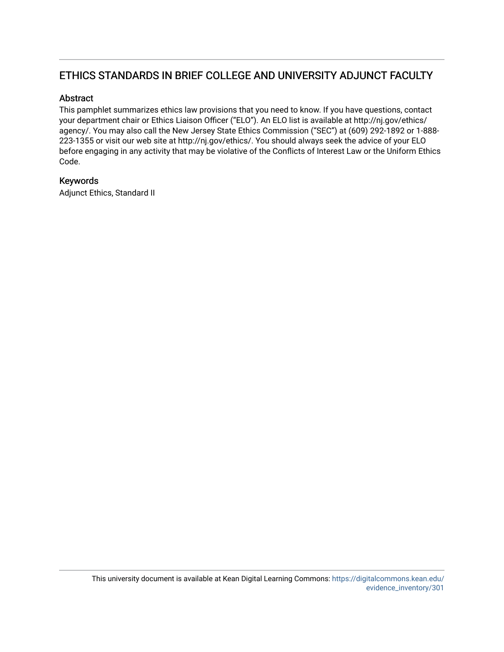# ETHICS STANDARDS IN BRIEF COLLEGE AND UNIVERSITY ADJUNCT FACULTY

## Abstract

This pamphlet summarizes ethics law provisions that you need to know. If you have questions, contact your department chair or Ethics Liaison Officer ("ELO"). An ELO list is available at http://nj.gov/ethics/ agency/. You may also call the New Jersey State Ethics Commission ("SEC") at (609) 292-1892 or 1-888- 223-1355 or visit our web site at http://nj.gov/ethics/. You should always seek the advice of your ELO before engaging in any activity that may be violative of the Conflicts of Interest Law or the Uniform Ethics Code.

# Keywords

Adjunct Ethics, Standard II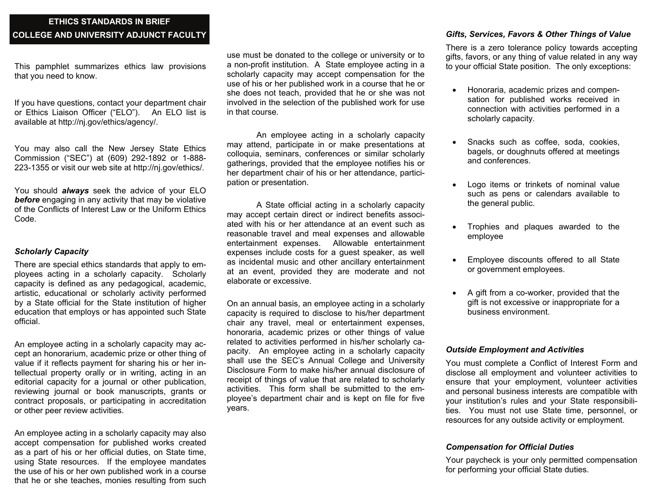# **ETHICS STANDARDS IN BRIEF COLLEGE AND UNIVERSITY ADJUNCT FACULTY**

This pamphlet summarizes ethics law provisions that you need to know.

If you have questions, contact your department chair or Ethics Liaison Officer ("ELO"). An ELO list is available at http://nj.gov/ethics/agency/.

You may also call the New Jersey State Ethics Commission ("SEC") at (609) 292-1892 or 1-888- 223-1355 or visit our web site at http://nj.gov/ethics/.

You should *always* seek the advice of your ELO *before* engaging in any activity that may be violative of the Conflicts of Interest Law or the Uniform Ethics Code.

#### *Scholarly Capacity*

There are special ethics standards that apply to employees acting in a scholarly capacity. Scholarly capacity is defined as any pedagogical, academic, artistic, educational or scholarly activity performed by a State official for the State institution of higher education that employs or has appointed such State official.

An employe e acting in a scholarly capacity may accept an honorarium, academic prize or other thing of value if it reflects payment for sharing his or her intellectual property orally or in writing, acting in an editorial capacity for a journal or other publication, reviewing journal or book manuscripts, grants or contract proposals, or participating in accreditation or other peer review activities.

An employee acting in a scholarly capacity may also accept compensation for published works created as a part of his or her official duties, on State time, using State resources. If the employee mandates the use of his or her own published work in a course that he or she teaches, monies resulting from such

use must be donated to the college or university or to a non-profit institution. A State employee acting in a scholarly capacity may accept compensation for the use of his or her published work in a course that he or she does not teach, provided that he or she was not involved in the selection of the published work for use in that course.

An employee acting in a scholarly capacity may attend, participate in or make presentations at colloquia, seminars, conferences or similar scholarly gatherings, provided that the employee notifies his or her department chair of his or her attendance, participation or presentation.

A State official acting in a scholarly capacity may accept certain direct or indirect benefits associated with his or her attendance at an event such as reasonable travel and meal expenses and allowable entertainment expenses. Allowable entertainment expenses include costs for a guest speaker, as well as incidental music and other ancillary entertainment at an event, provided they are moderate and not elaborate or excessive.

On an annual basis, an employee acting in a scholarly capacity is required to disclose to his/her department chair any travel, meal or entertainment expenses, honoraria, academic prizes or other things of value related to activities performed in his/her scholarly capacity. An employee acting in a scholarly capacity shall use the SEC's Annual College and University Disclosure Form to make his/her annual disclosure of receipt of things of value that are related to scholarly activities. This form shall be submitted to the employee's department chair and is kept on file for five years.

### *Gifts, Services, Favors & Other Things of Value*

There is a zero tolerance policy towards accepting gifts, favors, or any thing of value related in any way to your official State position. The only exceptions:

- Honoraria, academic prizes and compensation for published works received in connection with activities performed in a scholarly capacity.
- $\bullet$  Snacks such as coffee, soda, cookies, bagels, or doughnuts offered at meetings and conferences.
- $\bullet$  Logo items or trinkets of nominal value such as pens or calendars available to the general public.
- $\bullet$  Trophies and plaques awarded to the employee
- $\bullet$  Employee discounts offered to all State or government employees.
- $\bullet$  A gift from a co-worker, provided that the gift is not excessive or inappropriate for a business environment.

#### *Outside Employment and Activities*

You must complete a Conflict of Interest Form and disclose all employment and volunteer activities to ensure that your employment, volunteer activities and personal business interests are compatible with your institution's rules and your State responsibilities. You must not use State time, personnel, or resources for any outside activity or employment.

#### *Compensation for Official Duties*

Your paycheck is your only permitted compensation for performing your official State duties.